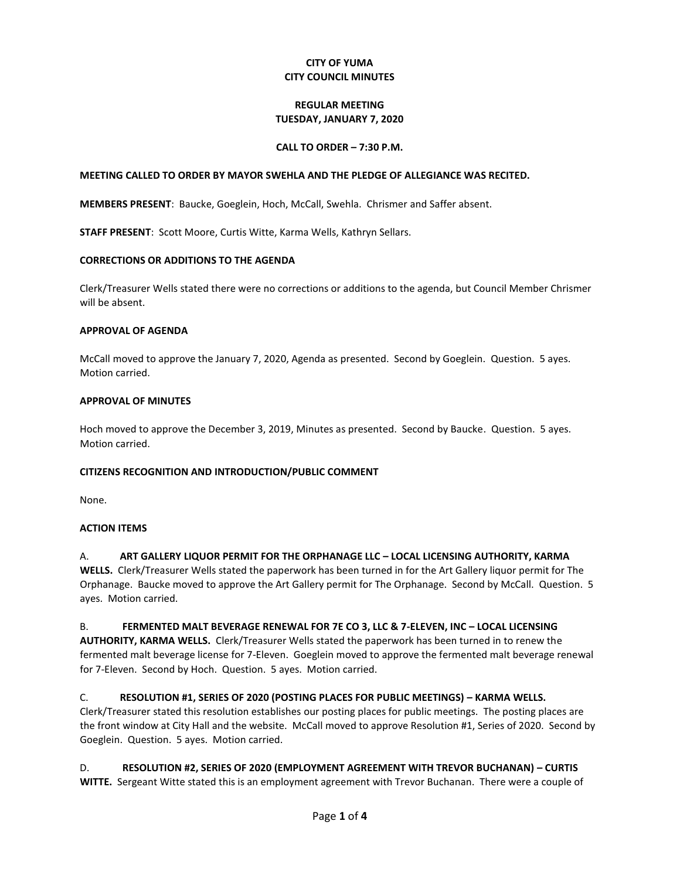# **CITY OF YUMA CITY COUNCIL MINUTES**

# **REGULAR MEETING TUESDAY, JANUARY 7, 2020**

# **CALL TO ORDER – 7:30 P.M.**

## **MEETING CALLED TO ORDER BY MAYOR SWEHLA AND THE PLEDGE OF ALLEGIANCE WAS RECITED.**

**MEMBERS PRESENT**: Baucke, Goeglein, Hoch, McCall, Swehla. Chrismer and Saffer absent.

**STAFF PRESENT**: Scott Moore, Curtis Witte, Karma Wells, Kathryn Sellars.

## **CORRECTIONS OR ADDITIONS TO THE AGENDA**

Clerk/Treasurer Wells stated there were no corrections or additions to the agenda, but Council Member Chrismer will be absent.

## **APPROVAL OF AGENDA**

McCall moved to approve the January 7, 2020, Agenda as presented. Second by Goeglein. Question. 5 ayes. Motion carried.

## **APPROVAL OF MINUTES**

Hoch moved to approve the December 3, 2019, Minutes as presented. Second by Baucke. Question. 5 ayes. Motion carried.

## **CITIZENS RECOGNITION AND INTRODUCTION/PUBLIC COMMENT**

None.

## **ACTION ITEMS**

A. **ART GALLERY LIQUOR PERMIT FOR THE ORPHANAGE LLC – LOCAL LICENSING AUTHORITY, KARMA WELLS.** Clerk/Treasurer Wells stated the paperwork has been turned in for the Art Gallery liquor permit for The Orphanage. Baucke moved to approve the Art Gallery permit for The Orphanage. Second by McCall. Question. 5 ayes. Motion carried.

B. **FERMENTED MALT BEVERAGE RENEWAL FOR 7E CO 3, LLC & 7-ELEVEN, INC - LOCAL LICENSING AUTHORITY, KARMA WELLS.** Clerk/Treasurer Wells stated the paperwork has been turned in to renew the fermented malt beverage license for 7-Eleven. Goeglein moved to approve the fermented malt beverage renewal for 7-Eleven. Second by Hoch. Question. 5 ayes. Motion carried.

# C. **RESOLUTION #1, SERIES OF 2020 (POSTING PLACES FOR PUBLIC MEETINGS) – KARMA WELLS.**

Clerk/Treasurer stated this resolution establishes our posting places for public meetings. The posting places are the front window at City Hall and the website. McCall moved to approve Resolution #1, Series of 2020. Second by Goeglein. Question. 5 ayes. Motion carried.

# D. **RESOLUTION #2, SERIES OF 2020 (EMPLOYMENT AGREEMENT WITH TREVOR BUCHANAN) – CURTIS**

**WITTE.** Sergeant Witte stated this is an employment agreement with Trevor Buchanan. There were a couple of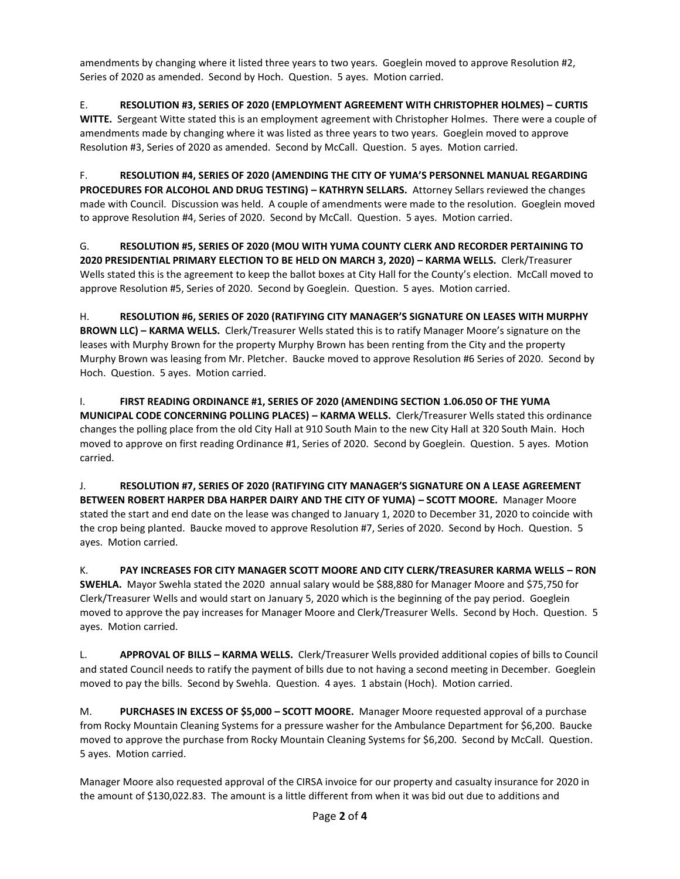amendments by changing where it listed three years to two years. Goeglein moved to approve Resolution #2, Series of 2020 as amended. Second by Hoch. Question. 5 ayes. Motion carried.

E. **RESOLUTION #3, SERIES OF 2020 (EMPLOYMENT AGREEMENT WITH CHRISTOPHER HOLMES) – CURTIS WITTE.** Sergeant Witte stated this is an employment agreement with Christopher Holmes. There were a couple of amendments made by changing where it was listed as three years to two years. Goeglein moved to approve Resolution #3, Series of 2020 as amended. Second by McCall. Question. 5 ayes. Motion carried.

F. **RESOLUTION #4, SERIES OF 2020 (AMENDING THE CITY OF YUMA'S PERSONNEL MANUAL REGARDING PROCEDURES FOR ALCOHOL AND DRUG TESTING) – KATHRYN SELLARS.** Attorney Sellars reviewed the changes made with Council. Discussion was held. A couple of amendments were made to the resolution. Goeglein moved to approve Resolution #4, Series of 2020. Second by McCall. Question. 5 ayes. Motion carried.

G. **RESOLUTION #5, SERIES OF 2020 (MOU WITH YUMA COUNTY CLERK AND RECORDER PERTAINING TO 2020 PRESIDENTIAL PRIMARY ELECTION TO BE HELD ON MARCH 3, 2020) – KARMA WELLS.** Clerk/Treasurer Wells stated this is the agreement to keep the ballot boxes at City Hall for the County's election. McCall moved to approve Resolution #5, Series of 2020. Second by Goeglein. Question. 5 ayes. Motion carried.

H. **RESOLUTION #6, SERIES OF 2020 (RATIFYING CITY MANAGER'S SIGNATURE ON LEASES WITH MURPHY BROWN LLC) – KARMA WELLS.** Clerk/Treasurer Wells stated this is to ratify Manager Moore's signature on the leases with Murphy Brown for the property Murphy Brown has been renting from the City and the property Murphy Brown was leasing from Mr. Pletcher. Baucke moved to approve Resolution #6 Series of 2020. Second by Hoch. Question. 5 ayes. Motion carried.

I. **FIRST READING ORDINANCE #1, SERIES OF 2020 (AMENDING SECTION 1.06.050 OF THE YUMA MUNICIPAL CODE CONCERNING POLLING PLACES) – KARMA WELLS.** Clerk/Treasurer Wells stated this ordinance changes the polling place from the old City Hall at 910 South Main to the new City Hall at 320 South Main. Hoch moved to approve on first reading Ordinance #1, Series of 2020. Second by Goeglein. Question. 5 ayes. Motion carried.

J. **RESOLUTION #7, SERIES OF 2020 (RATIFYING CITY MANAGER'S SIGNATURE ON A LEASE AGREEMENT BETWEEN ROBERT HARPER DBA HARPER DAIRY AND THE CITY OF YUMA) – SCOTT MOORE.** Manager Moore stated the start and end date on the lease was changed to January 1, 2020 to December 31, 2020 to coincide with the crop being planted. Baucke moved to approve Resolution #7, Series of 2020. Second by Hoch. Question. 5 ayes. Motion carried.

K. **PAY INCREASES FOR CITY MANAGER SCOTT MOORE AND CITY CLERK/TREASURER KARMA WELLS – RON SWEHLA.** Mayor Swehla stated the 2020 annual salary would be \$88,880 for Manager Moore and \$75,750 for Clerk/Treasurer Wells and would start on January 5, 2020 which is the beginning of the pay period. Goeglein moved to approve the pay increases for Manager Moore and Clerk/Treasurer Wells. Second by Hoch. Question. 5 ayes. Motion carried.

L. **APPROVAL OF BILLS – KARMA WELLS.** Clerk/Treasurer Wells provided additional copies of bills to Council and stated Council needs to ratify the payment of bills due to not having a second meeting in December. Goeglein moved to pay the bills. Second by Swehla. Question. 4 ayes. 1 abstain (Hoch). Motion carried.

M. **PURCHASES IN EXCESS OF \$5,000 – SCOTT MOORE.** Manager Moore requested approval of a purchase from Rocky Mountain Cleaning Systems for a pressure washer for the Ambulance Department for \$6,200. Baucke moved to approve the purchase from Rocky Mountain Cleaning Systems for \$6,200. Second by McCall. Question. 5 ayes. Motion carried.

Manager Moore also requested approval of the CIRSA invoice for our property and casualty insurance for 2020 in the amount of \$130,022.83. The amount is a little different from when it was bid out due to additions and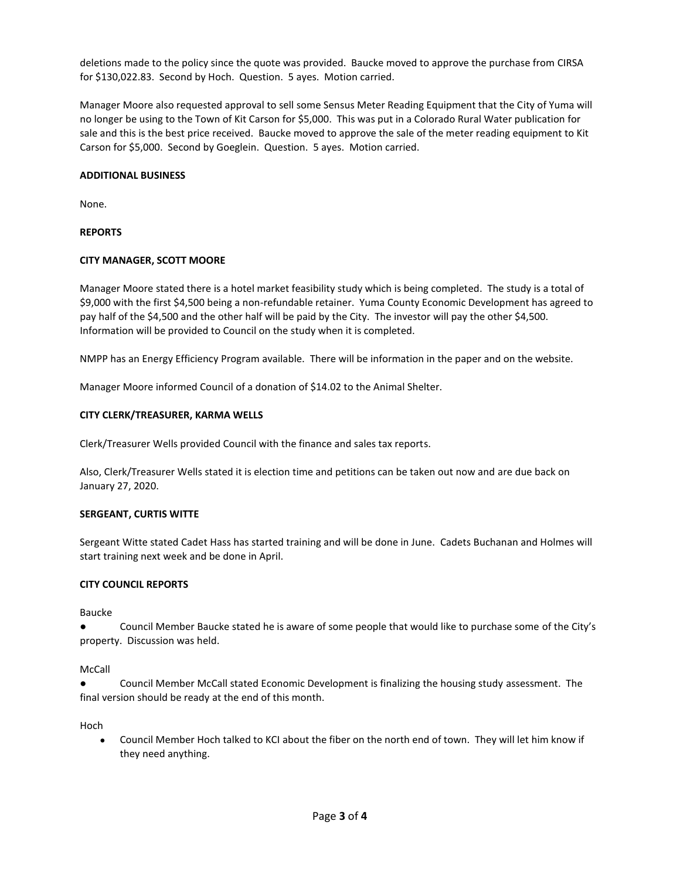deletions made to the policy since the quote was provided. Baucke moved to approve the purchase from CIRSA for \$130,022.83. Second by Hoch. Question. 5 ayes. Motion carried.

Manager Moore also requested approval to sell some Sensus Meter Reading Equipment that the City of Yuma will no longer be using to the Town of Kit Carson for \$5,000. This was put in a Colorado Rural Water publication for sale and this is the best price received. Baucke moved to approve the sale of the meter reading equipment to Kit Carson for \$5,000. Second by Goeglein. Question. 5 ayes. Motion carried.

# **ADDITIONAL BUSINESS**

None.

# **REPORTS**

# **CITY MANAGER, SCOTT MOORE**

Manager Moore stated there is a hotel market feasibility study which is being completed. The study is a total of \$9,000 with the first \$4,500 being a non-refundable retainer. Yuma County Economic Development has agreed to pay half of the \$4,500 and the other half will be paid by the City. The investor will pay the other \$4,500. Information will be provided to Council on the study when it is completed.

NMPP has an Energy Efficiency Program available. There will be information in the paper and on the website.

Manager Moore informed Council of a donation of \$14.02 to the Animal Shelter.

# **CITY CLERK/TREASURER, KARMA WELLS**

Clerk/Treasurer Wells provided Council with the finance and sales tax reports.

Also, Clerk/Treasurer Wells stated it is election time and petitions can be taken out now and are due back on January 27, 2020.

## **SERGEANT, CURTIS WITTE**

Sergeant Witte stated Cadet Hass has started training and will be done in June. Cadets Buchanan and Holmes will start training next week and be done in April.

## **CITY COUNCIL REPORTS**

Baucke

Council Member Baucke stated he is aware of some people that would like to purchase some of the City's property. Discussion was held.

## McCall

Council Member McCall stated Economic Development is finalizing the housing study assessment. The final version should be ready at the end of this month.

Hoch

 Council Member Hoch talked to KCI about the fiber on the north end of town. They will let him know if they need anything.